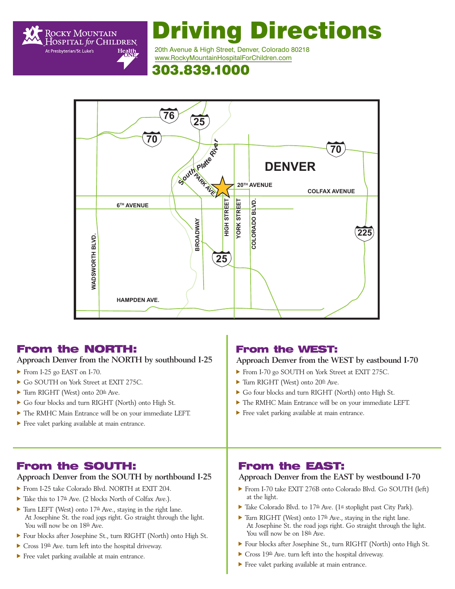

# Driving Directions

20th Avenue & High Street, Denver, Colorado 80218 [www.RockyMountainHospitalForChildren.com](https://rockymountainhospitalforchildren.com/) 

# 303.839.1000



# From the NORTH:

**Approach Denver from the NORTH by southbound I-25** 

- From I-25 go EAST on I-70.
- Go SOUTH on York Street at EXIT 275C.
- $\blacktriangleright$  Turn RIGHT (West) onto 20<sup>th</sup> Ave.
- Go four blocks and turn RIGHT (North) onto High St.
- $\blacktriangleright$  The RMHC Main Entrance will be on your immediate LEFT.
- $\blacktriangleright$  Free valet parking available at main entrance.

#### From the WEST:

#### **Approach Denver from the WEST by eastbound I-70**

- From I-70 go SOUTH on York Street at EXIT 275C.
- $\blacktriangleright$  Turn RIGHT (West) onto 20<sup>th</sup> Ave.
- f Go four blocks and turn RIGHT (North) onto High St.
- $\blacktriangleright$  The RMHC Main Entrance will be on your immediate LEFT.
- $\blacktriangleright$  Free valet parking available at main entrance.

# From the SOUTH:

#### **Approach Denver from the SOUTH by northbound I-25**

- From I-25 take Colorado Blvd. NORTH at EXIT 204.
- $\blacktriangleright$  Take this to  $17<sup>th</sup>$  Ave. (2 blocks North of Colfax Ave.).
- Furn LEFT (West) onto  $17<sup>th</sup>$  Ave., staying in the right lane. At Josephine St. the road jogs right. Go straight through the light. You will now be on  $18<sup>th</sup>$  Ave.
- f Four blocks after Josephine St., turn RIGHT (North) onto High St.
- $\blacktriangleright$  Cross 19<sup>th</sup> Ave. turn left into the hospital driveway.
- $\blacktriangleright$  Free valet parking available at main entrance.

# From the EAST:

#### **Approach Denver from the EAST by westbound I-70**

- From I-70 take EXIT 276B onto Colorado Blvd. Go SOUTH (left) at the light.
- $\blacktriangleright$  Take Colorado Blvd. to 17<sup>th</sup> Ave. (1<sup>st</sup> stoplight past City Park).
- Furn RIGHT (West) onto  $17<sup>th</sup>$  Ave., staying in the right lane. At Josephine St. the road jogs right. Go straight through the light. You will now be on  $18<sup>th</sup>$  Ave.
- Four blocks after Josephine St., turn RIGHT (North) onto High St.
- $\blacktriangleright$  Cross 19<sup>th</sup> Ave. turn left into the hospital driveway.
- $\blacktriangleright$  Free valet parking available at main entrance.